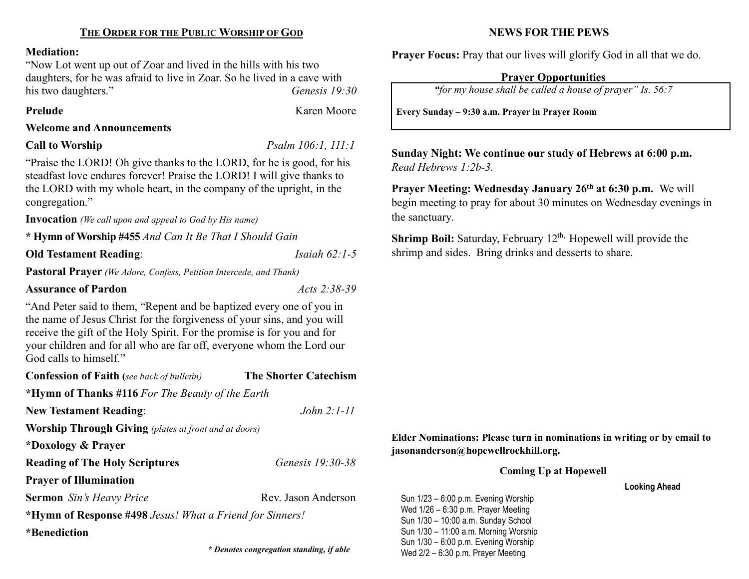#### Mediation:

"Now Lot went up out of Zoar and lived in the hills with his two daughters, for he was afraid to live in Zoar. So he lived in a cave with his two daughters." Genesis 19:30

## Prelude **Karen Moore**

#### Welcome and Announcements

#### **Call to Worship**

 $Psalm 106:1, 111:1$ 

"Praise the LORD! Oh give thanks to the LORD, for he is good, for his steadfast love endures forever! Praise the LORD! I will give thanks to the LORD with my whole heart, in the company of the upright, in the congregation."

Invocation (We call upon and appeal to God by His name)

\* Hymn of Worship #455 And Can It Be That I Should Gain

**Old Testament Reading:** *Isaiah 62:1-5* 

Pastoral Prayer (We Adore, Confess, Petition Intercede, and Thank)

### Assurance of Pardon Acts 2:38-39

"And Peter said to them, "Repent and be baptized every one of you in the name of Jesus Christ for the forgiveness of your sins, and you will receive the gift of the Holy Spirit. For the promise is for you and for your children and for all who are far off, everyone whom the Lord our God calls to himself."

| <b>Confession of Faith</b> (see back of bulletin)            | <b>The Shorter Catechism</b> |  |  |  |  |
|--------------------------------------------------------------|------------------------------|--|--|--|--|
| * <b>Hymn of Thanks</b> #116 For The Beauty of the Earth     |                              |  |  |  |  |
| <b>New Testament Reading:</b>                                | $John 2:1-11$                |  |  |  |  |
| <b>Worship Through Giving</b> (plates at front and at doors) |                              |  |  |  |  |
| *Doxology & Prayer                                           |                              |  |  |  |  |
| <b>Reading of The Holy Scriptures</b>                        | <i>Genesis 19:30-38</i>      |  |  |  |  |
| <b>Prayer of Illumination</b>                                |                              |  |  |  |  |
| <b>Sermon</b> Sin's Heavy Price                              | Rev. Jason Anderson          |  |  |  |  |
| *Hymn of Response #498 Jesus! What a Friend for Sinners!     |                              |  |  |  |  |
| *Benediction                                                 |                              |  |  |  |  |
|                                                              |                              |  |  |  |  |

## NEWS FOR THE PEWS

Prayer Focus: Pray that our lives will glorify God in all that we do.

# Prayer Opportunities

"for my house shall be called a house of prayer" Is. 56:7

Every Sunday – 9:30 a.m. Prayer in Prayer Room

Sunday Night: We continue our study of Hebrews at 6:00 p.m. Read Hebrews 1:2b-3.

Prayer Meeting: Wednesday January 26<sup>th</sup> at 6:30 p.m. We will begin meeting to pray for about 30 minutes on Wednesday evenings in the sanctuary.

**Shrimp Boil:** Saturday, February  $12<sup>th</sup>$ . Hopewell will provide the shrimp and sides. Bring drinks and desserts to share.

## Elder Nominations: Please turn in nominations in writing or by email to jasonanderson@hopewellrockhill.org.

Coming Up at Hopewell

Looking Ahead

Sun 1/23 – 6:00 p.m. Evening Worship Wed 1/26 – 6:30 p.m. Prayer Meeting Sun 1/30 – 10:00 a.m. Sunday School Sun 1/30 – 11:00 a.m. Morning Worship Sun 1/30 – 6:00 p.m. Evening Worship \* Denotes congregation standing, if able  $Wed 2/2 - 6:30 p.m.$  Prayer Meeting